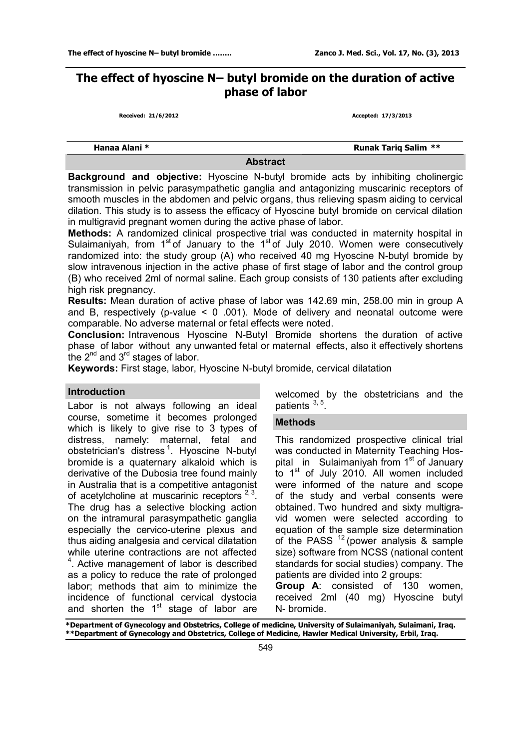# **The effect of hyoscine N– butyl bromide on the duration of active phase of labor**

**Received: 21/6/2012 Accepted: 17/3/2013**

 **Hanaa Alani \* Runak Tariq Salim \*\*** 

# **Abstract**

**Background and objective:** Hyoscine N-butyl bromide acts by inhibiting cholinergic transmission in pelvic parasympathetic ganglia and antagonizing muscarinic receptors of smooth muscles in the abdomen and pelvic organs, thus relieving spasm aiding to cervical dilation. This study is to assess the efficacy of Hyoscine butyl bromide on cervical dilation in multigravid pregnant women during the active phase of labor.

**Methods:** A randomized clinical prospective trial was conducted in maternity hospital in Sulaimaniyah, from 1<sup>st</sup> of January to the 1<sup>st</sup> of July 2010. Women were consecutively randomized into: the study group (A) who received 40 mg Hyoscine N-butyl bromide by slow intravenous injection in the active phase of first stage of labor and the control group (B) who received 2ml of normal saline. Each group consists of 130 patients after excluding high risk pregnancy.

**Results:** Mean duration of active phase of labor was 142.69 min, 258.00 min in group A and B, respectively (p-value  $\leq$  0 .001). Mode of delivery and neonatal outcome were comparable. No adverse maternal or fetal effects were noted.

**Conclusion:** Intravenous Hyoscine N-Butyl Bromide shortens the duration of active phase of labor without any unwanted fetal or maternal effects, also it effectively shortens the 2<sup>nd</sup> and 3<sup>rd</sup> stages of labor.

**Keywords:** First stage, labor, Hyoscine N-butyl bromide, cervical dilatation

# **Introduction**

Labor is not always following an ideal course, sometime it becomes prolonged which is likely to give rise to 3 types of distress, namely: maternal, fetal and obstetrician's distress<sup>1</sup>. Hyoscine N-butyl bromide is a quaternary alkaloid which is derivative of the Dubosia tree found mainly in Australia that is a competitive antagonist of acetylcholine at muscarinic receptors  $2,3$ . The drug has a selective blocking action on the intramural parasympathetic ganglia especially the cervico-uterine plexus and thus aiding analgesia and cervical dilatation while uterine contractions are not affected <sup>4</sup>. Active management of labor is described as a policy to reduce the rate of prolonged labor; methods that aim to minimize the incidence of functional cervical dystocia and shorten the 1<sup>st</sup> stage of labor are welcomed by the obstetricians and the patients  $3, 5$ .

# **Methods**

This randomized prospective clinical trial was conducted in Maternity Teaching Hospital in Sulaimaniyah from 1<sup>st</sup> of January to 1<sup>st</sup> of July 2010. All women included were informed of the nature and scope of the study and verbal consents were obtained. Two hundred and sixty multigravid women were selected according to equation of the sample size determination of the PASS  $12$  (power analysis & sample size) software from NCSS (national content standards for social studies) company. The patients are divided into 2 groups:

**Group A**: consisted of 130 women, received 2ml (40 mg) Hyoscine butyl N- bromide.

**\*Department of Gynecology and Obstetrics, College of medicine, University of Sulaimaniyah, Sulaimani, Iraq. \*\*Department of Gynecology and Obstetrics, College of Medicine, Hawler Medical University, Erbil, Iraq.**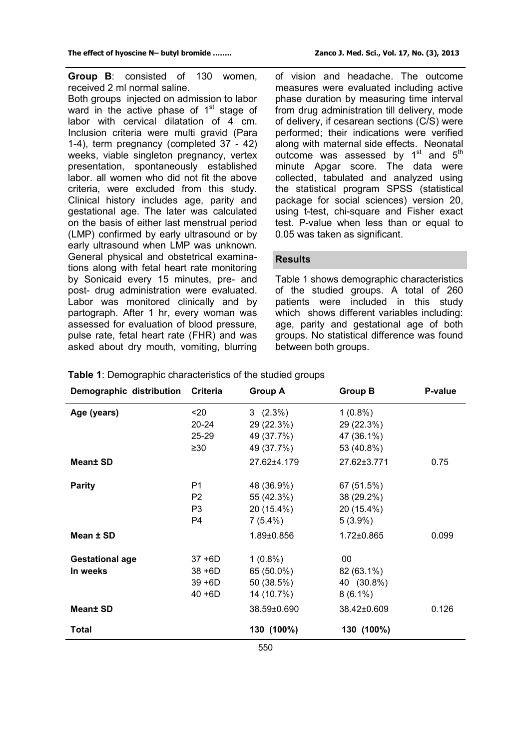**Group B**: consisted of 130 women, received 2 ml normal saline.

Both groups injected on admission to labor ward in the active phase of 1<sup>st</sup> stage of labor with cervical dilatation of 4 cm. Inclusion criteria were multi gravid (Para 1-4), term pregnancy (completed 37 - 42) weeks, viable singleton pregnancy, vertex presentation, spontaneously established labor. all women who did not fit the above criteria, were excluded from this study. Clinical history includes age, parity and gestational age. The later was calculated on the basis of either last menstrual period (LMP) confirmed by early ultrasound or by early ultrasound when LMP was unknown. General physical and obstetrical examinations along with fetal heart rate monitoring by Sonicaid every 15 minutes, pre- and post- drug administration were evaluated. Labor was monitored clinically and by partograph. After 1 hr, every woman was assessed for evaluation of blood pressure, pulse rate, fetal heart rate (FHR) and was asked about dry mouth, vomiting, blurring

of vision and headache. The outcome measures were evaluated including active phase duration by measuring time interval from drug administration till delivery, mode of delivery, if cesarean sections (C/S) were performed; their indications were verified along with maternal side effects. Neonatal outcome was assessed by 1<sup>st</sup> and 5<sup>th</sup> minute Apgar score. The data were collected, tabulated and analyzed using the statistical program SPSS (statistical package for social sciences) version 20, using t-test, chi-square and Fisher exact test. P-value when less than or equal to 0.05 was taken as significant.

# **Results**

Table 1 shows demographic characteristics of the studied groups. A total of 260 patients were included in this study which shows different variables including: age, parity and gestational age of both groups. No statistical difference was found between both groups.

| Demographic distribution | <b>Criteria</b> | <b>Group A</b> | <b>Group B</b>   | P-value |
|--------------------------|-----------------|----------------|------------------|---------|
| Age (years)              | $20$            | 3(2.3%)        | $1(0.8\%)$       |         |
|                          | $20 - 24$       | 29 (22.3%)     | 29 (22.3%)       |         |
|                          | $25 - 29$       | 49 (37.7%)     | 47 (36.1%)       |         |
|                          | $\geq 30$       | 49 (37.7%)     | 53 (40.8%)       |         |
| <b>Mean± SD</b>          |                 | 27.62±4.179    | 27.62±3.771      | 0.75    |
| <b>Parity</b>            | P <sub>1</sub>  | 48 (36.9%)     | 67 (51.5%)       |         |
|                          | P <sub>2</sub>  | 55 (42.3%)     | 38 (29.2%)       |         |
|                          | P <sub>3</sub>  | 20 (15.4%)     | 20 (15.4%)       |         |
|                          | P4              | $7(5.4\%)$     | $5(3.9\%)$       |         |
| Mean ± SD                |                 | 1.89±0.856     | $1.72 \pm 0.865$ | 0.099   |
| <b>Gestational age</b>   | $37 + 6D$       | $1(0.8\%)$     | 00               |         |
| In weeks                 | $38 + 6D$       | 65 (50.0%)     | 82 (63.1%)       |         |
|                          | $39 + 6D$       | 50 (38.5%)     | 40 (30.8%)       |         |
|                          | $40 + 6D$       | 14 (10.7%)     | $8(6.1\%)$       |         |
| Mean± SD                 |                 | 38.59±0.690    | 38.42±0.609      | 0.126   |
| <b>Total</b>             |                 | 130 (100%)     | 130 (100%)       |         |
|                          |                 | 550            |                  |         |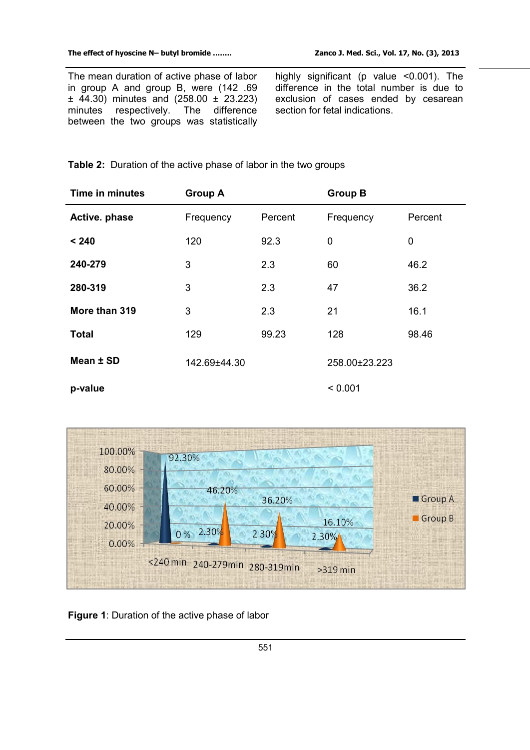The mean duration of active phase of labor in group A and group B, were (142 .69 ± 44.30) minutes and (258.00 ± 23.223) minutes respectively. The difference between the two groups was statistically

highly significant (p value <0.001). The difference in the total number is due to exclusion of cases ended by cesarean section for fetal indications.

**Table 2:** Duration of the active phase of labor in the two groups

| <b>Time in minutes</b> | <b>Group A</b> |         | <b>Group B</b> |         |
|------------------------|----------------|---------|----------------|---------|
| Active. phase          | Frequency      | Percent | Frequency      | Percent |
| < 240                  | 120            | 92.3    | 0              | 0       |
| 240-279                | 3              | 2.3     | 60             | 46.2    |
| 280-319                | 3              | 2.3     | 47             | 36.2    |
| More than 319          | 3              | 2.3     | 21             | 16.1    |
| <b>Total</b>           | 129            | 99.23   | 128            | 98.46   |
| Mean ± SD              | 142.69±44.30   |         | 258.00±23.223  |         |
| p-value                |                |         | < 0.001        |         |



**Figure 1**: Duration of the active phase of labor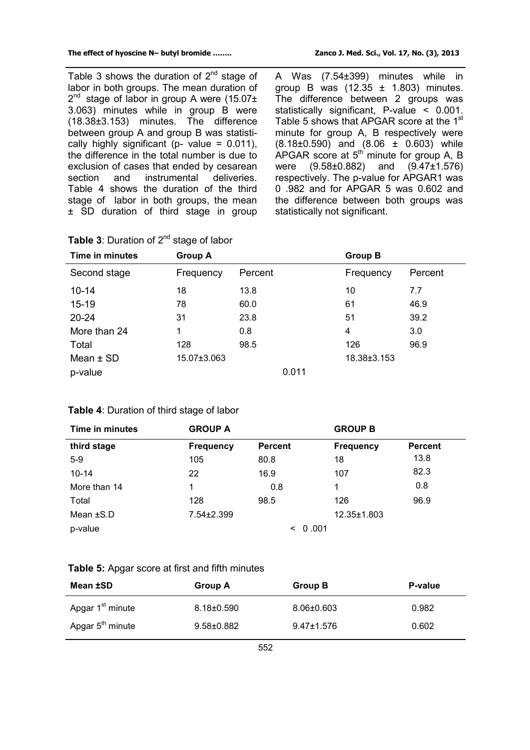Table 3 shows the duration of  $2^{nd}$  stage of labor in both groups. The mean duration of 2<sup>nd</sup> stage of labor in group A were (15.07± 3.063) minutes while in group B were (18.38±3.153) minutes. The difference between group A and group B was statistically highly significant ( $p$ - value = 0.011), the difference in the total number is due to exclusion of cases that ended by cesarean section and instrumental deliveries. Table 4 shows the duration of the third stage of labor in both groups, the mean ± SD duration of third stage in group A Was (7.54±399) minutes while in group B was  $(12.35 \pm 1.803)$  minutes. The difference between 2 groups was statistically significant, P-value < 0.001. Table 5 shows that APGAR score at the 1<sup>st</sup> minute for group A, B respectively were (8.18±0.590) and (8.06 ± 0.603) while APGAR score at  $5<sup>th</sup>$  minute for group A, B were (9.58±0.882) and (9.47±1.576) respectively. The p-value for APGAR1 was 0 .982 and for APGAR 5 was 0.602 and the difference between both groups was statistically not significant.

| Time in minutes | <b>Group A</b> |         |       | <b>Group B</b> |         |
|-----------------|----------------|---------|-------|----------------|---------|
| Second stage    | Frequency      | Percent |       | Frequency      | Percent |
| $10 - 14$       | 18             | 13.8    |       | 10             | 7.7     |
| $15 - 19$       | 78             | 60.0    |       | 61             | 46.9    |
| $20 - 24$       | 31             | 23.8    |       | 51             | 39.2    |
| More than 24    | 1              | 0.8     |       | 4              | 3.0     |
| Total           | 128            | 98.5    |       | 126            | 96.9    |
| Mean $\pm$ SD   | 15.07±3.063    |         |       | 18.38±3.153    |         |
| p-value         |                |         | 0.011 |                |         |

| Table 3: Duration of 2 <sup>nd</sup> stage of labor |  |  |  |  |
|-----------------------------------------------------|--|--|--|--|
|-----------------------------------------------------|--|--|--|--|

| Time in minutes | <b>GROUP A</b>   |                  | <b>GROUP B</b>   |                |
|-----------------|------------------|------------------|------------------|----------------|
| third stage     | <b>Frequency</b> | <b>Percent</b>   | <b>Frequency</b> | <b>Percent</b> |
| $5-9$           | 105              | 80.8             | 18               | 13.8           |
| $10 - 14$       | 22               | 16.9             | 107              | 82.3           |
| More than 14    |                  | 0.8              | 1                | 0.8            |
| Total           | 128              | 98.5             | 126              | 96.9           |
| Mean $\pm$ S.D  | 7.54±2.399       |                  | 12.35±1.803      |                |
| p-value         |                  | 0.001<br>$\,<\,$ |                  |                |

# **Table 5:** Apgar score at first and fifth minutes

| Mean ±SD                     | Group A          | <b>Group B</b>   | P-value |
|------------------------------|------------------|------------------|---------|
| Apgar 1 <sup>st</sup> minute | $8.18 \pm 0.590$ | $8.06 \pm 0.603$ | 0.982   |
| Apgar 5 <sup>th</sup> minute | $9.58 + 0.882$   | $9.47 \pm 1.576$ | 0.602   |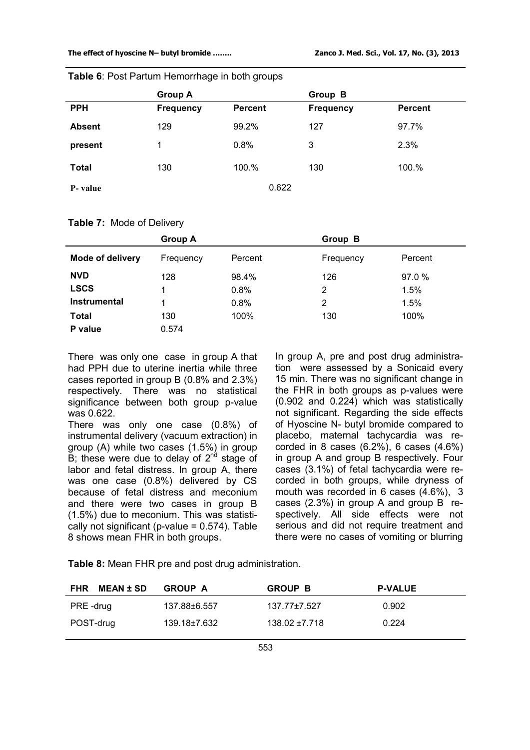|               | <b>Group A</b>   |                | <b>Group B</b>   |                |
|---------------|------------------|----------------|------------------|----------------|
| <b>PPH</b>    | <b>Frequency</b> | <b>Percent</b> | <b>Frequency</b> | <b>Percent</b> |
| <b>Absent</b> | 129              | 99.2%          | 127              | 97.7%          |
| present       | 1                | 0.8%           | 3                | 2.3%           |
| <b>Total</b>  | 130              | 100.%          | 130              | 100.%          |
| P-value       |                  | 0.622          |                  |                |

**Table 6**: Post Partum Hemorrhage in both groups

#### **Table 7:** Mode of Delivery

|                  | <b>Group A</b> |         | Group B   |         |
|------------------|----------------|---------|-----------|---------|
| Mode of delivery | Frequency      | Percent | Frequency | Percent |
| <b>NVD</b>       | 128            | 98.4%   | 126       | 97.0 %  |
| <b>LSCS</b>      |                | 0.8%    | 2         | 1.5%    |
| Instrumental     |                | 0.8%    | 2         | 1.5%    |
| <b>Total</b>     | 130            | 100%    | 130       | 100%    |
| P value          | 0.574          |         |           |         |

There was only one case in group A that had PPH due to uterine inertia while three cases reported in group B (0.8% and 2.3%) respectively. There was no statistical significance between both group p-value was 0.622.

There was only one case (0.8%) of instrumental delivery (vacuum extraction) in group (A) while two cases (1.5%) in group  $\overline{B}$ ; these were due to delay of 2<sup>nd</sup> stage of labor and fetal distress. In group A, there was one case (0.8%) delivered by CS because of fetal distress and meconium and there were two cases in group B (1.5%) due to meconium. This was statistically not significant ( $p$ -value = 0.574). Table 8 shows mean FHR in both groups.

In group A, pre and post drug administration were assessed by a Sonicaid every 15 min. There was no significant change in the FHR in both groups as p-values were (0.902 and 0.224) which was statistically not significant. Regarding the side effects of Hyoscine N- butyl bromide compared to placebo, maternal tachycardia was recorded in 8 cases (6.2%), 6 cases (4.6%) in group A and group B respectively. Four cases (3.1%) of fetal tachycardia were recorded in both groups, while dryness of mouth was recorded in 6 cases (4.6%), 3 cases (2.3%) in group A and group B respectively. All side effects were not serious and did not require treatment and there were no cases of vomiting or blurring

**Table 8:** Mean FHR pre and post drug administration.

| <b>MEAN±SD</b><br><b>FHR</b> | <b>GROUP A</b> | <b>GROUP B</b>     | <b>P-VALUE</b> |
|------------------------------|----------------|--------------------|----------------|
| PRE-drug                     | 137.88±6.557   | $137.77 \pm 7.527$ | 0.902          |
| POST-drug                    | 139.18±7.632   | $138.02 \pm 7.718$ | 0.224          |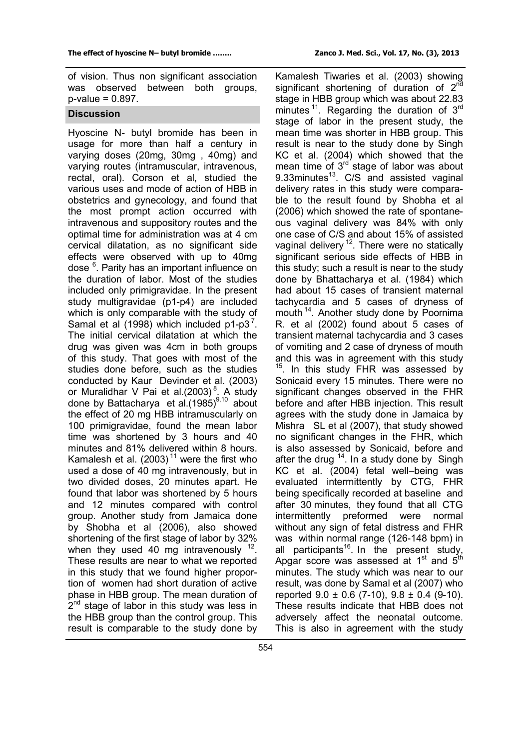of vision. Thus non significant association was observed between both groups,  $p$ -value = 0.897.

#### **Discussion**

Hyoscine N- butyl bromide has been in usage for more than half a century in varying doses (20mg, 30mg , 40mg) and varying routes (intramuscular, intravenous, rectal, oral). Corson et al, studied the various uses and mode of action of HBB in obstetrics and gynecology, and found that the most prompt action occurred with intravenous and suppository routes and the optimal time for administration was at 4 cm cervical dilatation, as no significant side effects were observed with up to 40mg dose <sup>6</sup>. Parity has an important influence on the duration of labor. Most of the studies included only primigravidae. In the present study multigravidae (p1-p4) are included which is only comparable with the study of Samal et al  $(1998)$  which included p1-p3<sup>7</sup>. The initial cervical dilatation at which the drug was given was 4cm in both groups of this study. That goes with most of the studies done before, such as the studies conducted by Kaur Devinder et al. (2003) or Muralidhar V Pai et al.(2003)<sup>8</sup>. A study done by Battacharya et al.(1985)<sup>9,10</sup> about the effect of 20 mg HBB intramuscularly on 100 primigravidae, found the mean labor time was shortened by 3 hours and 40 minutes and 81% delivered within 8 hours. Kamalesh et al.  $(2003)$ <sup>11</sup> were the first who used a dose of 40 mg intravenously, but in two divided doses, 20 minutes apart. He found that labor was shortened by 5 hours and 12 minutes compared with control group. Another study from Jamaica done by Shobha et al (2006), also showed shortening of the first stage of labor by 32% when they used 40 mg intravenously  $12$ . These results are near to what we reported in this study that we found higher proportion of women had short duration of active phase in HBB group. The mean duration of 2<sup>nd</sup> stage of labor in this study was less in the HBB group than the control group. This result is comparable to the study done by

Kamalesh Tiwaries et al. (2003) showing significant shortening of duration of 2<sup>nd</sup> stage in HBB group which was about 22.83 minutes  $11$ . Regarding the duration of  $3^{rd}$ stage of labor in the present study, the mean time was shorter in HBB group. This result is near to the study done by Singh KC et al. (2004) which showed that the mean time of 3<sup>rd</sup> stage of labor was about 9.33minutes<sup>13</sup>. C/S and assisted vaginal delivery rates in this study were comparable to the result found by Shobha et al (2006) which showed the rate of spontaneous vaginal delivery was 84% with only one case of C/S and about 15% of assisted vaginal delivery <sup>12</sup>. There were no statically significant serious side effects of HBB in this study; such a result is near to the study done by Bhattacharya et al. (1984) which had about 15 cases of transient maternal tachycardia and 5 cases of dryness of mouth <sup>14</sup> . Another study done by Poornima R. et al (2002) found about 5 cases of transient maternal tachycardia and 3 cases of vomiting and 2 case of dryness of mouth and this was in agreement with this study <sup>15</sup>. In this study FHR was assessed by Sonicaid every 15 minutes. There were no significant changes observed in the FHR before and after HBB injection. This result agrees with the study done in Jamaica by Mishra SL et al (2007), that study showed no significant changes in the FHR, which is also assessed by Sonicaid, before and after the drug  $14$ . In a study done by Singh KC et al. (2004) fetal well–being was evaluated intermittently by CTG, FHR being specifically recorded at baseline and after 30 minutes, they found that all CTG intermittently preformed were normal without any sign of fetal distress and FHR was within normal range (126-148 bpm) in all participants<sup>16</sup>. In the present study, Apgar score was assessed at 1<sup>st</sup> and 5<sup>th</sup> minutes. The study which was near to our result, was done by Samal et al (2007) who reported  $9.0 \pm 0.6$  (7-10),  $9.8 \pm 0.4$  (9-10). These results indicate that HBB does not adversely affect the neonatal outcome. This is also in agreement with the study